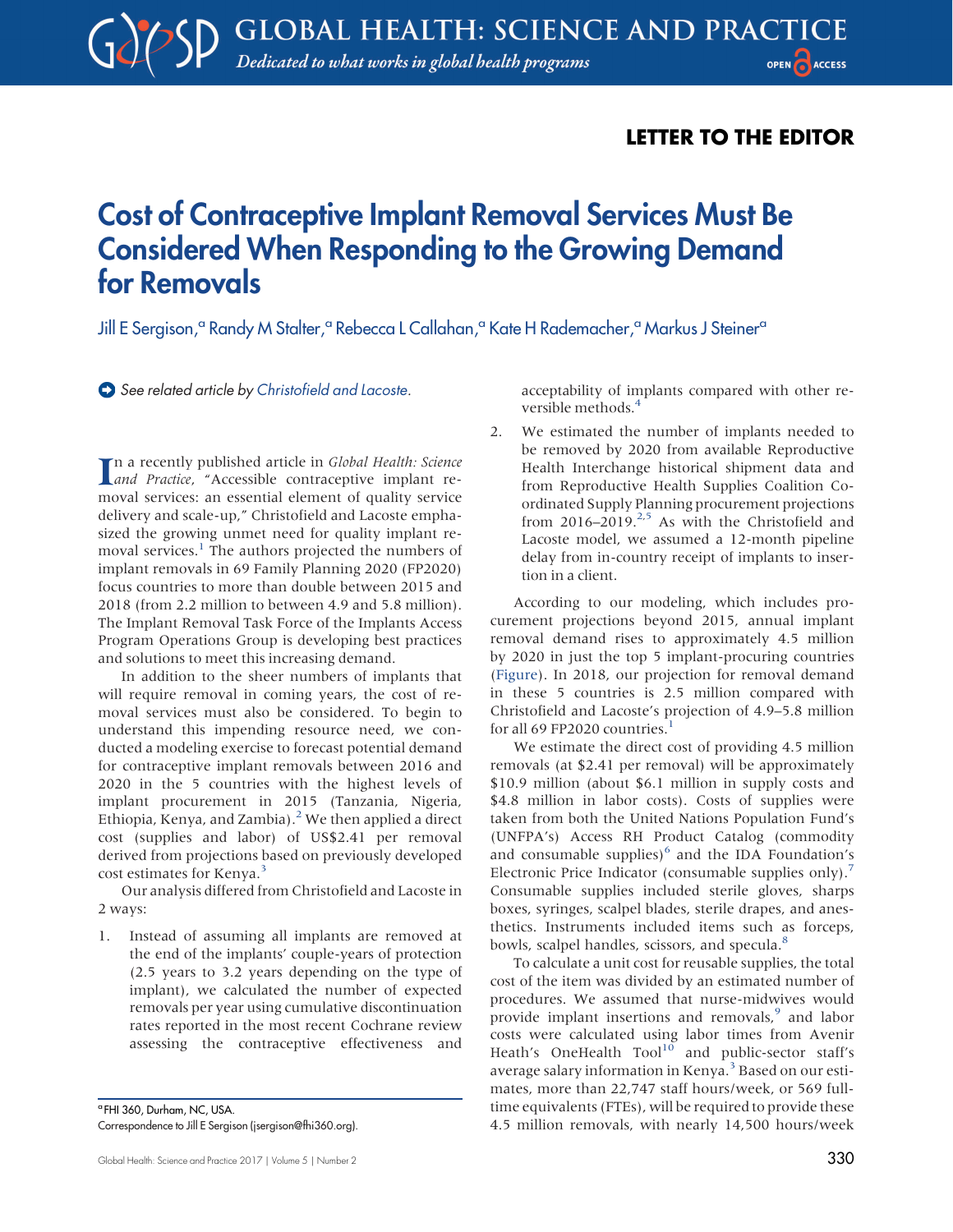## LETTER TO THE EDITOR

## Cost of Contraceptive Implant Removal Services Must Be Considered When Responding to the Growing Demand for Removals

Jill E Sergison,<sup>a</sup> Randy M Stalter,<sup>a</sup> Rebecca L Callahan,<sup>a</sup> Kate H Rademacher,<sup>a</sup> Markus J Steiner<sup>a</sup>

See related article by [Christofield and Lacoste.](http://dx.doi.org/10.9745/GHSP-D-16-00096)

In a recently published article in *Global Health: Science*<br> *Accessible* contraceptive implant re-In a recently published article in Global Health: Science moval services: an essential element of quality service delivery and scale-up," Christofield and Lacoste emphasized the growing unmet need for quality implant re-moval services.<sup>[1](#page-2-0)</sup> The authors projected the numbers of implant removals in 69 Family Planning 2020 (FP2020) focus countries to more than double between 2015 and 2018 (from 2.2 million to between 4.9 and 5.8 million). The Implant Removal Task Force of the Implants Access Program Operations Group is developing best practices and solutions to meet this increasing demand.

In addition to the sheer numbers of implants that will require removal in coming years, the cost of removal services must also be considered. To begin to understand this impending resource need, we conducted a modeling exercise to forecast potential demand for contraceptive implant removals between 2016 and 2020 in the 5 countries with the highest levels of implant procurement in 2015 (Tanzania, Nigeria, Ethiopia, Kenya, and Zambia).<sup>[2](#page-2-1)</sup> We then applied a direct cost (supplies and labor) of US\$2.41 per removal derived from projections based on previously developed cost estimates for Kenya.<sup>[3](#page-2-2)</sup>

Our analysis differed from Christofield and Lacoste in 2 ways:

1. Instead of assuming all implants are removed at the end of the implants' couple-years of protection (2.5 years to 3.2 years depending on the type of implant), we calculated the number of expected removals per year using cumulative discontinuation rates reported in the most recent Cochrane review assessing the contraceptive effectiveness and

<sup>a</sup> FHI 360, Durham, NC, USA. Correspondence to Jill E Sergison ([jsergison@fhi360.org](mailto:jsergison@fhi360.org)). acceptability of implants compared with other reversible methods.<sup>4</sup>

2. We estimated the number of implants needed to be removed by 2020 from available Reproductive Health Interchange historical shipment data and from Reproductive Health Supplies Coalition Coordinated Supply Planning procurement projections from  $2016-2019$ <sup>2[,5](#page-2-4)</sup> As with the Christofield and Lacoste model, we assumed a 12-month pipeline delay from in-country receipt of implants to insertion in a client.

According to our modeling, which includes procurement projections beyond 2015, annual implant removal demand rises to approximately 4.5 million by 2020 in just the top 5 implant-procuring countries ([Figure\)](#page-1-0). In 2018, our projection for removal demand in these 5 countries is 2.5 million compared with Christofield and Lacoste's projection of 4.9–5.8 million for all 69 FP2020 countries. $<sup>1</sup>$  $<sup>1</sup>$  $<sup>1</sup>$ </sup>

We estimate the direct cost of providing 4.5 million removals (at \$2.41 per removal) will be approximately \$10.9 million (about \$6.1 million in supply costs and \$4.8 million in labor costs). Costs of supplies were taken from both the United Nations Population Fund's (UNFPA's) Access RH Product Catalog (commodity and consumable supplies) $6$  and the IDA Foundation's Electronic Price Indicator (consumable supplies only).<sup>[7](#page-2-6)</sup> Consumable supplies included sterile gloves, sharps boxes, syringes, scalpel blades, sterile drapes, and anesthetics. Instruments included items such as forceps, bowls, scalpel handles, scissors, and specula.<sup>[8](#page-2-7)</sup>

To calculate a unit cost for reusable supplies, the total cost of the item was divided by an estimated number of procedures. We assumed that nurse-midwives would provide implant insertions and removals,<sup>[9](#page-2-8)</sup> and labor costs were calculated using labor times from Avenir Heath's OneHealth Tool<sup>10</sup> and public-sector staff's average salary information in Kenya.<sup>[3](#page-2-2)</sup> Based on our estimates, more than 22,747 staff hours/week, or 569 fulltime equivalents (FTEs), will be required to provide these 4.5 million removals, with nearly 14,500 hours/week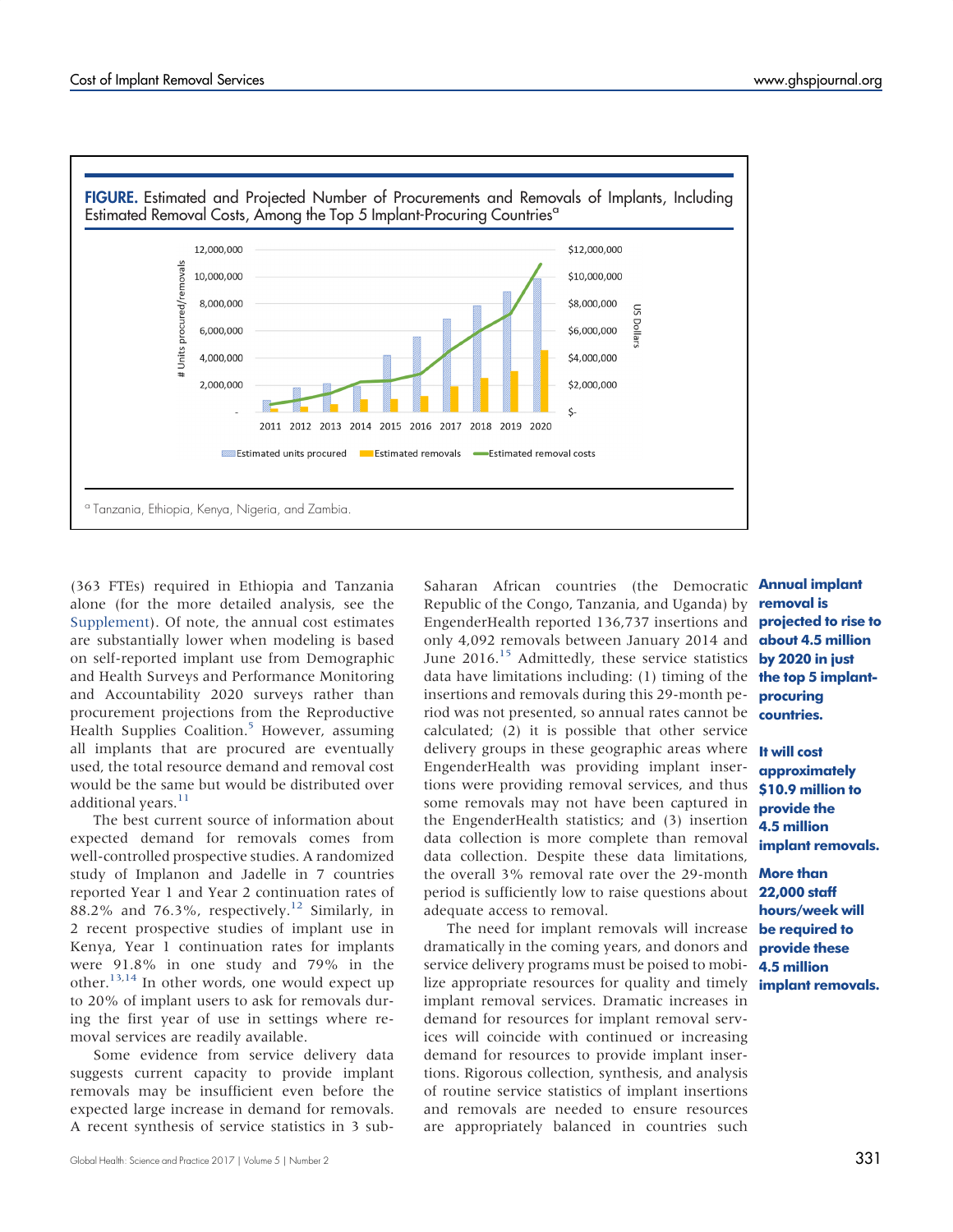<span id="page-1-0"></span>

(363 FTEs) required in Ethiopia and Tanzania alone (for the more detailed analysis, see the [Supplement](http://ghspjournal.org/lookup/suppl/doi:10.9745/GHSP-D-17-00100/-/DCSupplemental)). Of note, the annual cost estimates are substantially lower when modeling is based on self-reported implant use from Demographic and Health Surveys and Performance Monitoring and Accountability 2020 surveys rather than procurement projections from the Reproductive Health Supplies Coalition.<sup>5</sup> However, assuming all implants that are procured are eventually used, the total resource demand and removal cost would be the same but would be distributed over additional years.<sup>[11](#page-2-10)</sup>

The best current source of information about expected demand for removals comes from well-controlled prospective studies. A randomized study of Implanon and Jadelle in 7 countries reported Year 1 and Year 2 continuation rates of 88.2% and 76.3%, respectively.<sup>[12](#page-2-11)</sup> Similarly, in 2 recent prospective studies of implant use in Kenya, Year 1 continuation rates for implants were 91.8% in one study and 79% in the other.<sup>[13](#page-2-12)[,14](#page-2-13)</sup> In other words, one would expect up to 20% of implant users to ask for removals during the first year of use in settings where removal services are readily available.

Some evidence from service delivery data suggests current capacity to provide implant removals may be insufficient even before the expected large increase in demand for removals. A recent synthesis of service statistics in 3 sub-

Saharan African countries (the Democratic **Annual implant** Republic of the Congo, Tanzania, and Uganda) by EngenderHealth reported 136,737 insertions and only 4,092 removals between January 2014 and June 2016.<sup>[15](#page-2-14)</sup> Admittedly, these service statistics data have limitations including: (1) timing of the **the top 5 implant**insertions and removals during this 29-month period was not presented, so annual rates cannot be calculated; (2) it is possible that other service delivery groups in these geographic areas where **It will cost** EngenderHealth was providing implant insertions were providing removal services, and thus some removals may not have been captured in the EngenderHealth statistics; and (3) insertion data collection is more complete than removal data collection. Despite these data limitations, the overall 3% removal rate over the 29-month **More than** period is sufficiently low to raise questions about 22,000 staff adequate access to removal.

The need for implant removals will increase be required to dramatically in the coming years, and donors and service delivery programs must be poised to mobilize appropriate resources for quality and timely implant removal services. Dramatic increases in demand for resources for implant removal services will coincide with continued or increasing demand for resources to provide implant insertions. Rigorous collection, synthesis, and analysis of routine service statistics of implant insertions and removals are needed to ensure resources are appropriately balanced in countries such

removal is projected to rise to about 4.5 million by 2020 in just procuring countries.

approximately \$10.9 million to provide the 4.5 million implant removals.

hours/week will provide these 4.5 million implant removals.